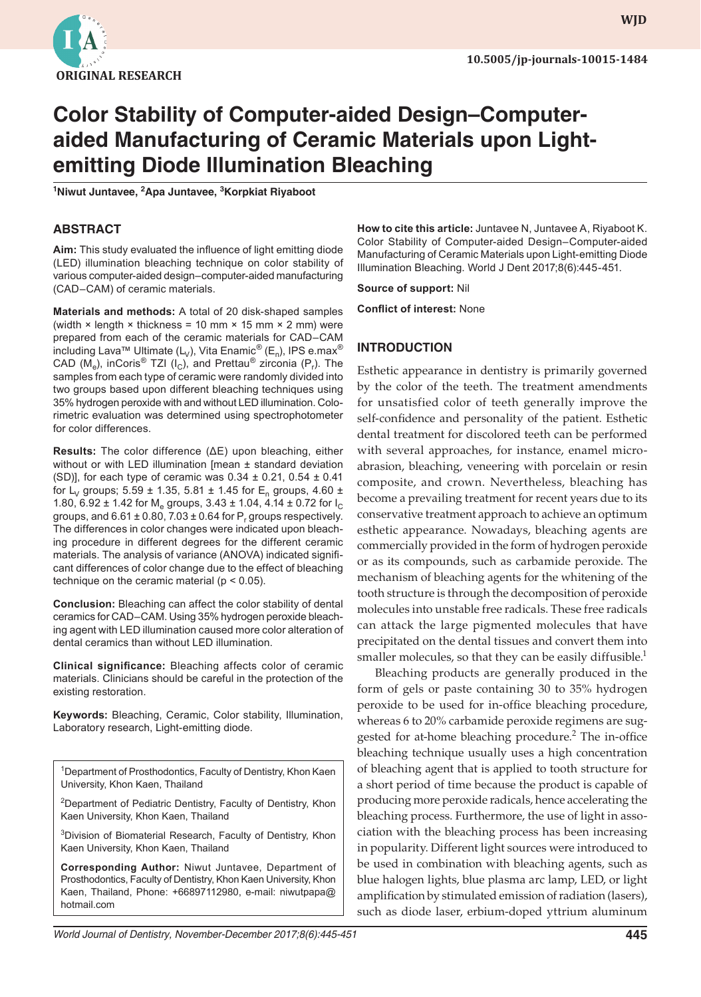

**wjd WJD**

# **Color Stability of Computer-aided Design–Computeraided Manufacturing of Ceramic Materials upon Lightemitting Diode Illumination Bleaching**

**1 Niwut Juntavee, 2 Apa Juntavee, <sup>3</sup> Korpkiat Riyaboot**

## **ABSTRACT**

**Aim:** This study evaluated the influence of light emitting diode (LED) illumination bleaching technique on color stability of various computer-aided design–computer-aided manufacturing (CAD–CAM) of ceramic materials.

**Materials and methods:** A total of 20 disk-shaped samples (width  $\times$  length  $\times$  thickness = 10 mm  $\times$  15 mm  $\times$  2 mm) were prepared from each of the ceramic materials for CAD–CAM including Lava™ Ultimate (L<sub>V</sub>), Vita Enamic<sup>®</sup> (E<sub>n</sub>), IPS e.max<sup>®</sup> CAD (M<sub>e</sub>), inCoris<sup>®</sup> TZI (I<sub>C</sub>), and Prettau® zirconia (P<sub>r</sub>). The samples from each type of ceramic were randomly divided into two groups based upon different bleaching techniques using 35% hydrogen peroxide with and without LED illumination. Colorimetric evaluation was determined using spectrophotometer for color differences.

**Results:** The color difference (ΔE) upon bleaching, either without or with LED illumination [mean ± standard deviation (SD)], for each type of ceramic was  $0.34 \pm 0.21$ ,  $0.54 \pm 0.41$ for L<sub>V</sub> groups; 5.59 ± 1.35, 5.81 ± 1.45 for E<sub>n</sub> groups, 4.60 ± 1.80, 6.92  $\pm$  1.42 for M<sub>e</sub> groups, 3.43  $\pm$  1.04, 4.14  $\pm$  0.72 for I<sub>C</sub> groups, and  $6.61 \pm 0.80$ ,  $7.03 \pm 0.64$  for  $\mathsf{P}_{\mathsf{r}}$  groups respectively. The differences in color changes were indicated upon bleaching procedure in different degrees for the different ceramic materials. The analysis of variance (ANOVA) indicated significant differences of color change due to the effect of bleaching technique on the ceramic material (p < 0.05).

**Conclusion:** Bleaching can affect the color stability of dental ceramics for CAD–CAM. Using 35% hydrogen peroxide bleaching agent with LED illumination caused more color alteration of dental ceramics than without LED illumination.

**Clinical significance:** Bleaching affects color of ceramic materials. Clinicians should be careful in the protection of the existing restoration.

**Keywords:** Bleaching, Ceramic, Color stability, Illumination, Laboratory research, Light-emitting diode.

<sup>1</sup>Department of Prosthodontics, Faculty of Dentistry, Khon Kaen University, Khon Kaen, Thailand

<sup>2</sup>Department of Pediatric Dentistry, Faculty of Dentistry, Khon Kaen University, Khon Kaen, Thailand

<sup>3</sup>Division of Biomaterial Research, Faculty of Dentistry, Khon Kaen University, Khon Kaen, Thailand

**Corresponding Author:** Niwut Juntavee, Department of Prosthodontics, Faculty of Dentistry, Khon Kaen University, Khon Kaen, Thailand, Phone: +66897112980, e-mail: niwutpapa@ hotmail.com

**How to cite this article:** Juntavee N, Juntavee A, Riyaboot K. Color Stability of Computer-aided Design–Computer-aided Manufacturing of Ceramic Materials upon Light-emitting Diode Illumination Bleaching. World J Dent 2017;8(6):445-451.

**Source of support:** Nil

**Conflict of interest:** None

# **INTRODUCTION**

Esthetic appearance in dentistry is primarily governed by the color of the teeth. The treatment amendments for unsatisfied color of teeth generally improve the self-confidence and personality of the patient. Esthetic dental treatment for discolored teeth can be performed with several approaches, for instance, enamel microabrasion, bleaching, veneering with porcelain or resin composite, and crown. Nevertheless, bleaching has become a prevailing treatment for recent years due to its conservative treatment approach to achieve an optimum esthetic appearance. Nowadays, bleaching agents are commercially provided in the form of hydrogen peroxide or as its compounds, such as carbamide peroxide. The mechanism of bleaching agents for the whitening of the tooth structure is through the decomposition of peroxide molecules into unstable free radicals. These free radicals can attack the large pigmented molecules that have precipitated on the dental tissues and convert them into smaller molecules, so that they can be easily diffusible. $<sup>1</sup>$ </sup>

Bleaching products are generally produced in the form of gels or paste containing 30 to 35% hydrogen peroxide to be used for in-office bleaching procedure, whereas 6 to 20% carbamide peroxide regimens are suggested for at-home bleaching procedure.<sup>2</sup> The in-office bleaching technique usually uses a high concentration of bleaching agent that is applied to tooth structure for a short period of time because the product is capable of producing more peroxide radicals, hence accelerating the bleaching process. Furthermore, the use of light in association with the bleaching process has been increasing in popularity. Different light sources were introduced to be used in combination with bleaching agents, such as blue halogen lights, blue plasma arc lamp, LED, or light amplification by stimulated emission of radiation (lasers), such as diode laser, erbium-doped yttrium aluminum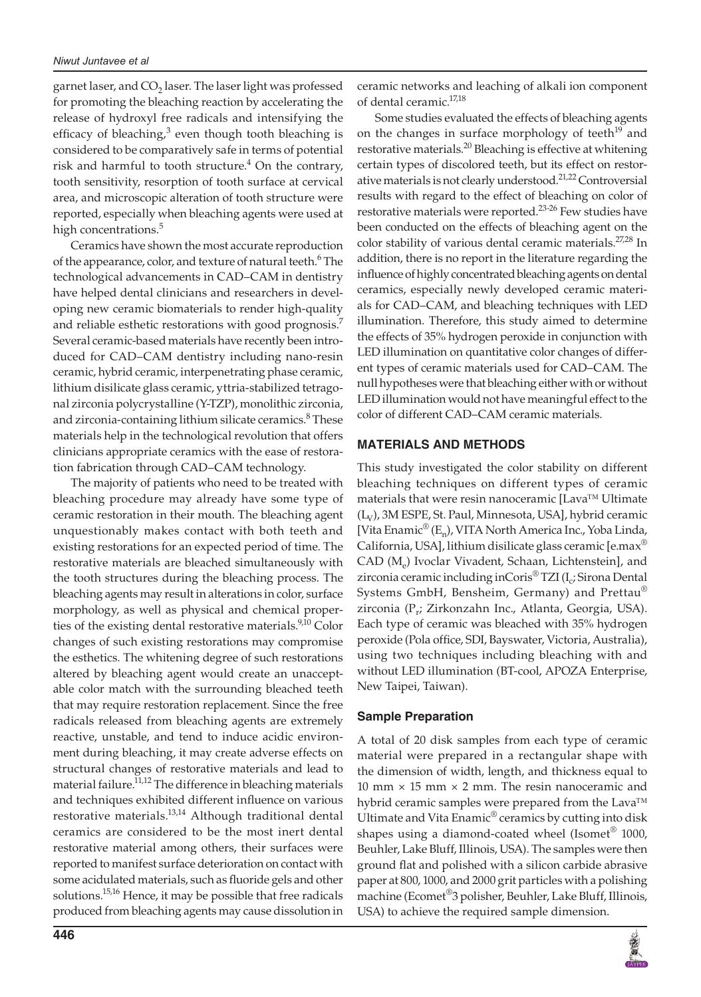#### *Niwut Juntavee et al*

garnet laser, and  $CO<sub>2</sub>$  laser. The laser light was professed for promoting the bleaching reaction by accelerating the release of hydroxyl free radicals and intensifying the efficacy of bleaching, $3$  even though tooth bleaching is considered to be comparatively safe in terms of potential risk and harmful to tooth structure.<sup>4</sup> On the contrary, tooth sensitivity, resorption of tooth surface at cervical area, and microscopic alteration of tooth structure were reported, especially when bleaching agents were used at high concentrations.<sup>5</sup>

Ceramics have shown the most accurate reproduction of the appearance, color, and texture of natural teeth.<sup>6</sup> The technological advancements in CAD–CAM in dentistry have helped dental clinicians and researchers in developing new ceramic biomaterials to render high-quality and reliable esthetic restorations with good prognosis.<sup>7</sup> Several ceramic-based materials have recently been introduced for CAD–CAM dentistry including nano-resin ceramic, hybrid ceramic, interpenetrating phase ceramic, lithium disilicate glass ceramic, yttria-stabilized tetragonal zirconia polycrystalline (Y-TZP), monolithic zirconia, and zirconia-containing lithium silicate ceramics.<sup>8</sup> These materials help in the technological revolution that offers clinicians appropriate ceramics with the ease of restoration fabrication through CAD–CAM technology.

The majority of patients who need to be treated with bleaching procedure may already have some type of ceramic restoration in their mouth. The bleaching agent unquestionably makes contact with both teeth and existing restorations for an expected period of time. The restorative materials are bleached simultaneously with the tooth structures during the bleaching process. The bleaching agents may result in alterations in color, surface morphology, as well as physical and chemical properties of the existing dental restorative materials.<sup>9,10</sup> Color changes of such existing restorations may compromise the esthetics. The whitening degree of such restorations altered by bleaching agent would create an unacceptable color match with the surrounding bleached teeth that may require restoration replacement. Since the free radicals released from bleaching agents are extremely reactive, unstable, and tend to induce acidic environment during bleaching, it may create adverse effects on structural changes of restorative materials and lead to material failure.<sup>11,12</sup> The difference in bleaching materials and techniques exhibited different influence on various restorative materials.<sup>13,14</sup> Although traditional dental ceramics are considered to be the most inert dental restorative material among others, their surfaces were reported to manifest surface deterioration on contact with some acidulated materials, such as fluoride gels and other solutions.<sup>15,16</sup> Hence, it may be possible that free radicals produced from bleaching agents may cause dissolution in

**446**

ceramic networks and leaching of alkali ion component of dental ceramic.<sup>17,18</sup>

Some studies evaluated the effects of bleaching agents on the changes in surface morphology of teeth $19$  and restorative materials.<sup>20</sup> Bleaching is effective at whitening certain types of discolored teeth, but its effect on restorative materials is not clearly understood.<sup>21,22</sup> Controversial results with regard to the effect of bleaching on color of restorative materials were reported.<sup>23-26</sup> Few studies have been conducted on the effects of bleaching agent on the color stability of various dental ceramic materials.<sup>27,28</sup> In addition, there is no report in the literature regarding the influence of highly concentrated bleaching agents on dental ceramics, especially newly developed ceramic materials for CAD–CAM, and bleaching techniques with LED illumination. Therefore, this study aimed to determine the effects of 35% hydrogen peroxide in conjunction with LED illumination on quantitative color changes of different types of ceramic materials used for CAD–CAM. The null hypotheses were that bleaching either with or without LED illumination would not have meaningful effect to the color of different CAD–CAM ceramic materials.

## **MATERIALS AND METHODS**

This study investigated the color stability on different bleaching techniques on different types of ceramic materials that were resin nanoceramic [Lava™ Ultimate  $(L_V)$ , 3M ESPE, St. Paul, Minnesota, USA], hybrid ceramic [Vita Enamic<sup>®</sup> (E<sub>n</sub>), VITA North America Inc., Yoba Linda, California, USA], lithium disilicate glass ceramic [e.max® CAD (M<sub>e</sub>) Ivoclar Vivadent, Schaan, Lichtenstein], and zirconia ceramic including in $Coris^{\circledast}$  TZI (I<sub>c</sub>; Sirona Dental Systems GmbH, Bensheim, Germany) and Prettau® zirconia (P<sub>r</sub>; Zirkonzahn Inc., Atlanta, Georgia, USA). Each type of ceramic was bleached with 35% hydrogen peroxide (Pola office, SDI, Bayswater, Victoria, Australia), using two techniques including bleaching with and without LED illumination (BT-cool, APOZA Enterprise, New Taipei, Taiwan).

## **Sample Preparation**

A total of 20 disk samples from each type of ceramic material were prepared in a rectangular shape with the dimension of width, length, and thickness equal to 10 mm  $\times$  15 mm  $\times$  2 mm. The resin nanoceramic and hybrid ceramic samples were prepared from the Lava<sup>™</sup> Ultimate and Vita Enamic<sup>®</sup> ceramics by cutting into disk shapes using a diamond-coated wheel (Isomet<sup>®</sup> 1000, Beuhler, Lake Bluff, Illinois, USA). The samples were then ground flat and polished with a silicon carbide abrasive paper at 800, 1000, and 2000 grit particles with a polishing machine (Ecomet®3 polisher, Beuhler, Lake Bluff, Illinois, USA) to achieve the required sample dimension.

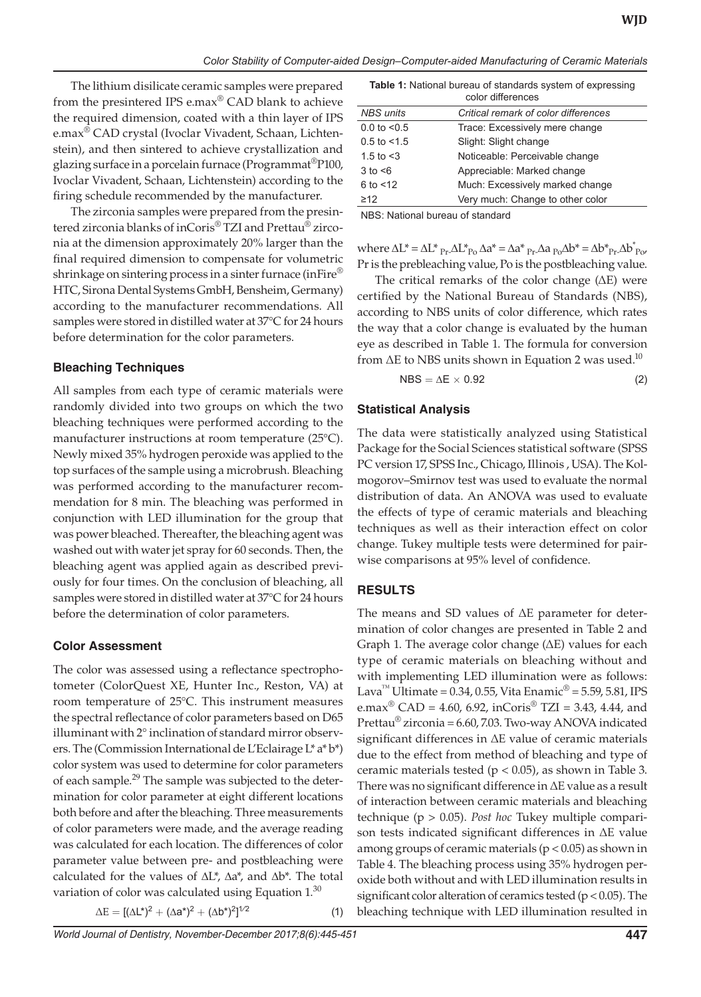The lithium disilicate ceramic samples were prepared from the presintered IPS e.max® CAD blank to achieve the required dimension, coated with a thin layer of IPS e.max® CAD crystal (Ivoclar Vivadent, Schaan, Lichtenstein), and then sintered to achieve crystallization and glazing surface in a porcelain furnace (Programmat®P100, Ivoclar Vivadent, Schaan, Lichtenstein) according to the firing schedule recommended by the manufacturer.

The zirconia samples were prepared from the presintered zirconia blanks of inCoris® TZI and Prettau® zirconia at the dimension approximately 20% larger than the final required dimension to compensate for volumetric shrinkage on sintering process in a sinter furnace (in Fire<sup>®</sup> HTC, Sirona Dental Systems GmbH, Bensheim, Germany) according to the manufacturer recommendations. All samples were stored in distilled water at 37°C for 24 hours before determination for the color parameters.

#### **Bleaching Techniques**

All samples from each type of ceramic materials were randomly divided into two groups on which the two bleaching techniques were performed according to the manufacturer instructions at room temperature (25°C). Newly mixed 35% hydrogen peroxide was applied to the top surfaces of the sample using a microbrush. Bleaching was performed according to the manufacturer recommendation for 8 min. The bleaching was performed in conjunction with LED illumination for the group that was power bleached. Thereafter, the bleaching agent was washed out with water jet spray for 60 seconds. Then, the bleaching agent was applied again as described previously for four times. On the conclusion of bleaching, all samples were stored in distilled water at 37°C for 24 hours before the determination of color parameters.

#### **Color Assessment**

The color was assessed using a reflectance spectrophotometer (ColorQuest XE, Hunter Inc., Reston, VA) at room temperature of 25°C. This instrument measures the spectral reflectance of color parameters based on D65 illuminant with 2° inclination of standard mirror observers. The (Commission International de L'Eclairage L\* a\* b\*) color system was used to determine for color parameters of each sample.<sup>29</sup> The sample was subjected to the determination for color parameter at eight different locations both before and after the bleaching. Three measurements of color parameters were made, and the average reading was calculated for each location. The differences of color parameter value between pre- and postbleaching were calculated for the values of ∆L\*, ∆a\*, and ∆b\*. The total variation of color was calculated using Equation  $1.30$ 

$$
\Delta E = [(\Delta L^*)^2 + (\Delta a^*)^2 + (\Delta b^*)^2]^{1/2}
$$
\n(1)

**Table 1:** National bureau of standards system of expressing color differences

|                  | <u>uului ullituritutta</u>           |
|------------------|--------------------------------------|
| NBS units        | Critical remark of color differences |
| $0.0$ to $< 0.5$ | Trace: Excessively mere change       |
| $0.5$ to $< 1.5$ | Slight: Slight change                |
| 1.5 to $<$ 3     | Noticeable: Perceivable change       |
| 3 to <6          | Appreciable: Marked change           |
| $6$ to $<$ 12    | Much: Excessively marked change      |
| ≥12              | Very much: Change to other color     |
|                  |                                      |

NBS: National bureau of standard

where  $\Delta L^* = \Delta L^*_{\text{Pr}} \Delta L^*_{\text{Po}} \Delta a^* = \Delta a^*_{\text{Pr}} \Delta a_{\text{Po}} \Delta b^* = \Delta b^*_{\text{Pr}} \Delta b_{\text{Po}}^*$ Pr is the prebleaching value, Po is the postbleaching value.

The critical remarks of the color change (ΔE) were certified by the National Bureau of Standards (NBS), according to NBS units of color difference, which rates the way that a color change is evaluated by the human eye as described in Table 1. The formula for conversion from  $\Delta E$  to NBS units shown in Equation 2 was used.<sup>10</sup>

$$
NBS = \Delta E \times 0.92 \tag{2}
$$

#### **Statistical Analysis**

The data were statistically analyzed using Statistical Package for the Social Sciences statistical software (SPSS PC version 17, SPSS Inc., Chicago, Illinois , USA). The Kolmogorov–Smirnov test was used to evaluate the normal distribution of data. An ANOVA was used to evaluate the effects of type of ceramic materials and bleaching techniques as well as their interaction effect on color change. Tukey multiple tests were determined for pairwise comparisons at 95% level of confidence.

#### **RESULTS**

The means and SD values of ΔΕ parameter for determination of color changes are presented in Table 2 and Graph 1. The average color change (ΔE) values for each type of ceramic materials on bleaching without and with implementing LED illumination were as follows: Lava<sup>™</sup> Ultimate = 0.34, 0.55, Vita Enamic<sup>®</sup> = 5.59, 5.81, IPS e.max<sup>®</sup> CAD = 4.60, 6.92, inCoris<sup>®</sup> TZI = 3.43, 4.44, and Prettau® zirconia = 6.60, 7.03. Two-way ANOVA indicated significant differences in ΔΕ value of ceramic materials due to the effect from method of bleaching and type of ceramic materials tested ( $p < 0.05$ ), as shown in Table 3. There was no significant difference in ΔΕ value as a result of interaction between ceramic materials and bleaching technique (p > 0.05). *Post hoc* Tukey multiple comparison tests indicated significant differences in ΔΕ value among groups of ceramic materials  $(p < 0.05)$  as shown in Table 4. The bleaching process using 35% hydrogen peroxide both without and with LED illumination results in significant color alteration of ceramics tested (p < 0.05). The bleaching technique with LED illumination resulted in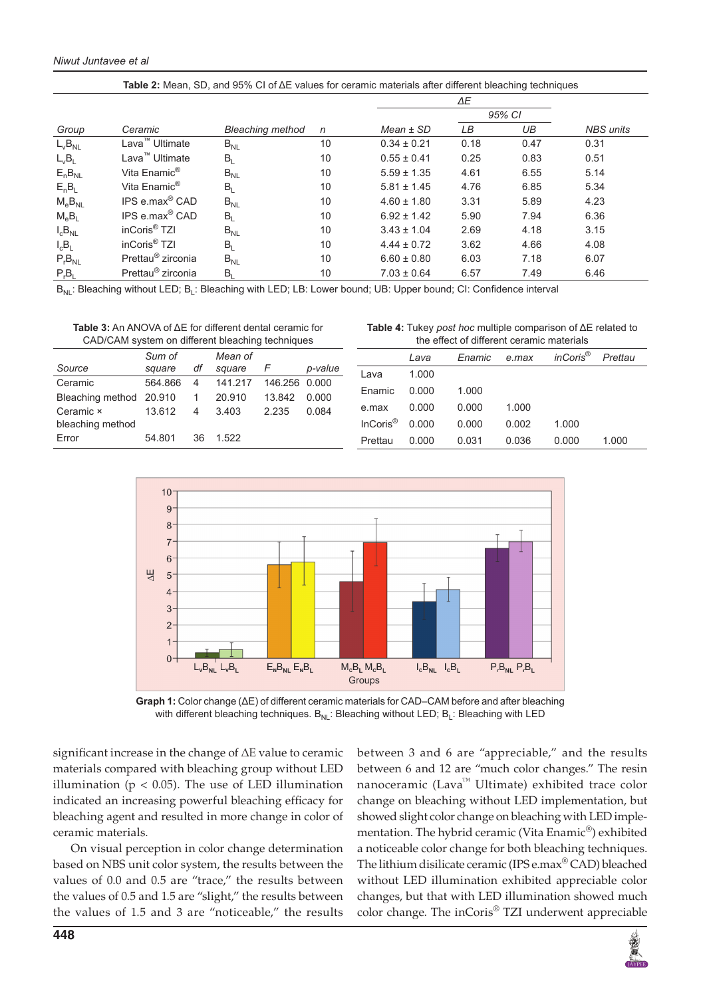| Table 2: Mean, SD, and 95% CI of $\Delta E$ values for ceramic materials after different bleaching techniques |                               |                         |    |                 |        |      |                  |  |  |
|---------------------------------------------------------------------------------------------------------------|-------------------------------|-------------------------|----|-----------------|--------|------|------------------|--|--|
|                                                                                                               |                               |                         |    |                 |        |      |                  |  |  |
|                                                                                                               |                               |                         |    |                 | 95% CI |      |                  |  |  |
| Group                                                                                                         | Ceramic                       | <b>Bleaching method</b> | n  | $Mean \pm SD$   | LВ     | UB   | <b>NBS</b> units |  |  |
| $L_vB_{NL}$                                                                                                   | Lava <sup>™</sup> Ultimate    | $B_{NL}$                | 10 | $0.34 \pm 0.21$ | 0.18   | 0.47 | 0.31             |  |  |
| $L_{v}B_{L}$                                                                                                  | Lava <sup>™</sup> Ultimate    | $B_L$                   | 10 | $0.55 \pm 0.41$ | 0.25   | 0.83 | 0.51             |  |  |
| $E_nB_{NL}$                                                                                                   | Vita Enamic <sup>®</sup>      | $B_{NL}$                | 10 | $5.59 \pm 1.35$ | 4.61   | 6.55 | 5.14             |  |  |
| $E_nB_l$                                                                                                      | Vita Enamic <sup>®</sup>      | $B_L$                   | 10 | $5.81 \pm 1.45$ | 4.76   | 6.85 | 5.34             |  |  |
| $M_eB_{NL}$                                                                                                   | IPS e.max <sup>®</sup> CAD    | $B_{NL}$                | 10 | $4.60 \pm 1.80$ | 3.31   | 5.89 | 4.23             |  |  |
| $M_eB_1$                                                                                                      | IPS e.max <sup>®</sup> CAD    | $B_L$                   | 10 | $6.92 \pm 1.42$ | 5.90   | 7.94 | 6.36             |  |  |
| $I_cB_{NL}$                                                                                                   | inCoris <sup>®</sup> TZI      | $B_{NL}$                | 10 | $3.43 \pm 1.04$ | 2.69   | 4.18 | 3.15             |  |  |
| $I_cB_L$                                                                                                      | inCoris <sup>®</sup> TZI      | $B_L$                   | 10 | $4.44 \pm 0.72$ | 3.62   | 4.66 | 4.08             |  |  |
| $P_rB_{NL}$                                                                                                   | Prettau <sup>®</sup> zirconia | $B_{NL}$                | 10 | $6.60 \pm 0.80$ | 6.03   | 7.18 | 6.07             |  |  |
| $P_rB_l$                                                                                                      | Prettau <sup>®</sup> zirconia | $B_L$                   | 10 | $7.03 \pm 0.64$ | 6.57   | 7.49 | 6.46             |  |  |

B<sub>NL</sub>: Bleaching without LED; B<sub>L</sub>: Bleaching with LED; LB: Lower bound; UB: Upper bound; CI: Confidence interval

**Table 3:** An ANOVA of ΔE for different dental ceramic for CAD/CAM system on different bleaching techniques

**Table 4:** Tukey *post hoc* multiple comparison of ΔE related to the effect of different ceramic materials

|                         | Sum of  |                | Mean of |               |         |                       | Lava  | Enamic | e.max | inCoris <sup>®</sup> | Prettau |
|-------------------------|---------|----------------|---------|---------------|---------|-----------------------|-------|--------|-------|----------------------|---------|
| Source                  | sauare  | df             | sauare  |               | p-value | Lava                  | 1.000 |        |       |                      |         |
| Ceramic                 | 564.866 | 4              | 141.217 | 146.256 0.000 |         |                       |       |        |       |                      |         |
|                         |         |                |         |               |         | Enamic                | 0.000 | 1.000  |       |                      |         |
| Bleaching method 20.910 |         | $\overline{1}$ | 20.910  | 13.842        | 0.000   |                       |       |        |       |                      |         |
| Ceramic ×               | 13.612  | 4              | 3.403   | 2.235         | 0.084   | e.max                 | 0.000 | 0.000  | 1.000 |                      |         |
| bleaching method        |         |                |         |               |         | $InCoris^{\circledR}$ | 0.000 | 0.000  | 0.002 | 1.000                |         |
| Error                   | 54.801  | 36             | 1.522   |               |         | Prettau               | 0.000 | 0.031  | 0.036 | 0.000                | 1.000   |



**Graph 1:** Color change (ΔΕ) of different ceramic materials for CAD–CAM before and after bleaching with different bleaching techniques.  $B_{NL}$ : Bleaching without LED;  $B_L$ : Bleaching with LED

significant increase in the change of ΔΕ value to ceramic materials compared with bleaching group without LED illumination ( $p < 0.05$ ). The use of LED illumination indicated an increasing powerful bleaching efficacy for bleaching agent and resulted in more change in color of ceramic materials.

On visual perception in color change determination based on NBS unit color system, the results between the values of 0.0 and 0.5 are "trace," the results between the values of 0.5 and 1.5 are "slight," the results between the values of 1.5 and 3 are "noticeable," the results

between 3 and 6 are "appreciable," and the results between 6 and 12 are "much color changes." The resin nanoceramic (Lava™ Ultimate) exhibited trace color change on bleaching without LED implementation, but showed slight color change on bleaching with LED implementation. The hybrid ceramic (Vita Enamic®) exhibited a noticeable color change for both bleaching techniques. The lithium disilicate ceramic (IPS e.max® CAD) bleached without LED illumination exhibited appreciable color changes, but that with LED illumination showed much color change. The inCoris® TZI underwent appreciable

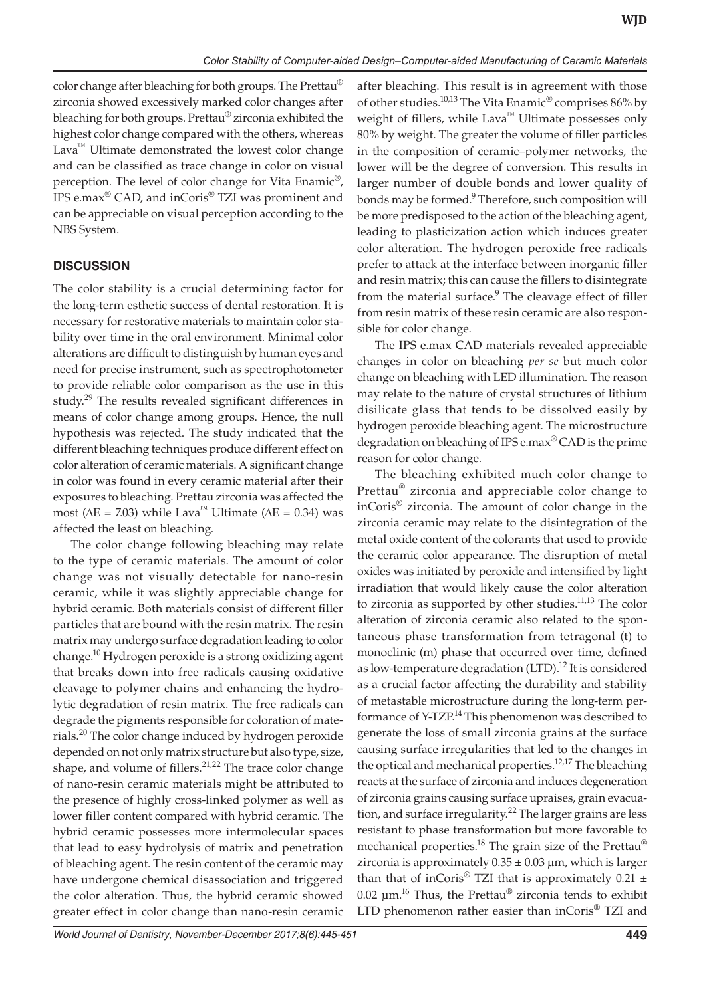color change after bleaching for both groups. The Prettau® zirconia showed excessively marked color changes after bleaching for both groups. Prettau® zirconia exhibited the highest color change compared with the others, whereas Lava<sup>™</sup> Ultimate demonstrated the lowest color change and can be classified as trace change in color on visual perception. The level of color change for Vita Enamic®, IPS e.max® CAD, and inCoris® TZI was prominent and can be appreciable on visual perception according to the NBS System.

# **DISCUSSION**

The color stability is a crucial determining factor for the long-term esthetic success of dental restoration. It is necessary for restorative materials to maintain color stability over time in the oral environment. Minimal color alterations are difficult to distinguish by human eyes and need for precise instrument, such as spectrophotometer to provide reliable color comparison as the use in this study.<sup>29</sup> The results revealed significant differences in means of color change among groups. Hence, the null hypothesis was rejected. The study indicated that the different bleaching techniques produce different effect on color alteration of ceramic materials. A significant change in color was found in every ceramic material after their exposures to bleaching. Prettau zirconia was affected the most ( $ΔE = 7.03$ ) while Lava<sup>™</sup> Ultimate ( $ΔE = 0.34$ ) was affected the least on bleaching.

The color change following bleaching may relate to the type of ceramic materials. The amount of color change was not visually detectable for nano-resin ceramic, while it was slightly appreciable change for hybrid ceramic. Both materials consist of different filler particles that are bound with the resin matrix. The resin matrix may undergo surface degradation leading to color change.10 Hydrogen peroxide is a strong oxidizing agent that breaks down into free radicals causing oxidative cleavage to polymer chains and enhancing the hydrolytic degradation of resin matrix. The free radicals can degrade the pigments responsible for coloration of materials.<sup>20</sup> The color change induced by hydrogen peroxide depended on not only matrix structure but also type, size, shape, and volume of fillers.<sup>21,22</sup> The trace color change of nano-resin ceramic materials might be attributed to the presence of highly cross-linked polymer as well as lower filler content compared with hybrid ceramic. The hybrid ceramic possesses more intermolecular spaces that lead to easy hydrolysis of matrix and penetration of bleaching agent. The resin content of the ceramic may have undergone chemical disassociation and triggered the color alteration. Thus, the hybrid ceramic showed greater effect in color change than nano-resin ceramic

after bleaching. This result is in agreement with those of other studies.<sup>10,13</sup> The Vita Enamic<sup>®</sup> comprises 86% by weight of fillers, while Lava™ Ultimate possesses only 80% by weight. The greater the volume of filler particles in the composition of ceramic–polymer networks, the lower will be the degree of conversion. This results in larger number of double bonds and lower quality of bonds may be formed.<sup>9</sup> Therefore, such composition will be more predisposed to the action of the bleaching agent, leading to plasticization action which induces greater color alteration. The hydrogen peroxide free radicals prefer to attack at the interface between inorganic filler and resin matrix; this can cause the fillers to disintegrate from the material surface.<sup>9</sup> The cleavage effect of filler from resin matrix of these resin ceramic are also responsible for color change.

The IPS e.max CAD materials revealed appreciable changes in color on bleaching *per se* but much color change on bleaching with LED illumination. The reason may relate to the nature of crystal structures of lithium disilicate glass that tends to be dissolved easily by hydrogen peroxide bleaching agent. The microstructure degradation on bleaching of IPS e.max® CAD is the prime reason for color change.

The bleaching exhibited much color change to Prettau<sup>®</sup> zirconia and appreciable color change to inCoris® zirconia. The amount of color change in the zirconia ceramic may relate to the disintegration of the metal oxide content of the colorants that used to provide the ceramic color appearance. The disruption of metal oxides was initiated by peroxide and intensified by light irradiation that would likely cause the color alteration to zirconia as supported by other studies.<sup>11,13</sup> The color alteration of zirconia ceramic also related to the spontaneous phase transformation from tetragonal (t) to monoclinic (m) phase that occurred over time, defined as low-temperature degradation (LTD).<sup>12</sup> It is considered as a crucial factor affecting the durability and stability of metastable microstructure during the long-term performance of Y-TZP.<sup>14</sup> This phenomenon was described to generate the loss of small zirconia grains at the surface causing surface irregularities that led to the changes in the optical and mechanical properties.<sup>12,17</sup> The bleaching reacts at the surface of zirconia and induces degeneration of zirconia grains causing surface upraises, grain evacuation, and surface irregularity.<sup>22</sup> The larger grains are less resistant to phase transformation but more favorable to mechanical properties.<sup>18</sup> The grain size of the Prettau<sup>®</sup> zirconia is approximately  $0.35 \pm 0.03$  µm, which is larger than that of inCoris<sup>®</sup> TZI that is approximately  $0.21 \pm$ 0.02  $\mu$ m.<sup>16</sup> Thus, the Prettau<sup>®</sup> zirconia tends to exhibit LTD phenomenon rather easier than inCoris® TZI and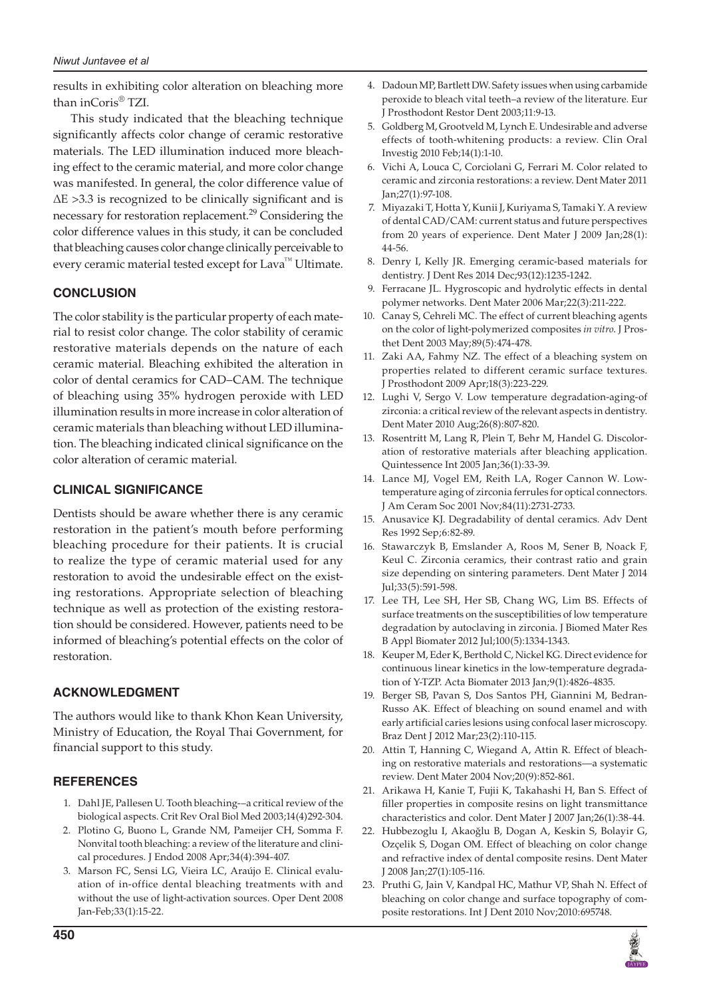### *Niwut Juntavee et al*

results in exhibiting color alteration on bleaching more than inCoris® TZI.

This study indicated that the bleaching technique significantly affects color change of ceramic restorative materials. The LED illumination induced more bleaching effect to the ceramic material, and more color change was manifested. In general, the color difference value of ΔΕ >3.3 is recognized to be clinically significant and is necessary for restoration replacement.<sup>29</sup> Considering the color difference values in this study, it can be concluded that bleaching causes color change clinically perceivable to every ceramic material tested except for Lava™ Ultimate.

# **CONCLUSION**

The color stability is the particular property of each material to resist color change. The color stability of ceramic restorative materials depends on the nature of each ceramic material. Bleaching exhibited the alteration in color of dental ceramics for CAD–CAM. The technique of bleaching using 35% hydrogen peroxide with LED illumination results in more increase in color alteration of ceramic materials than bleaching without LED illumination. The bleaching indicated clinical significance on the color alteration of ceramic material.

# **Clinical Significance**

Dentists should be aware whether there is any ceramic restoration in the patient's mouth before performing bleaching procedure for their patients. It is crucial to realize the type of ceramic material used for any restoration to avoid the undesirable effect on the existing restorations. Appropriate selection of bleaching technique as well as protection of the existing restoration should be considered. However, patients need to be informed of bleaching's potential effects on the color of restoration.

# **ACKNOWLEDGMENT**

The authors would like to thank Khon Kean University, Ministry of Education, the Royal Thai Government, for financial support to this study.

## **REFERENCES**

- 1. Dahl JE, Pallesen U. Tooth bleaching-–a critical review of the biological aspects. Crit Rev Oral Biol Med 2003;14(4)292-304.
- 2. Plotino G, Buono L, Grande NM, Pameijer CH, Somma F. Nonvital tooth bleaching: a review of the literature and clinical procedures. J Endod 2008 Apr;34(4):394-407.
- 3. Marson FC, Sensi LG, Vieira LC, Araújo E. Clinical evaluation of in-office dental bleaching treatments with and without the use of light-activation sources. Oper Dent 2008 Jan-Feb;33(1):15-22.
- 4. Dadoun MP, Bartlett DW. Safety issues when using carbamide peroxide to bleach vital teeth–a review of the literature. Eur J Prosthodont Restor Dent 2003;11:9-13.
- 5. Goldberg M, Grootveld M, Lynch E. Undesirable and adverse effects of tooth-whitening products: a review. Clin Oral Investig 2010 Feb;14(1):1-10.
- 6. Vichi A, Louca C, Corciolani G, Ferrari M. Color related to ceramic and zirconia restorations: a review. Dent Mater 2011 Jan;27(1):97-108.
- 7. Miyazaki T, Hotta Y, Kunii J, Kuriyama S, Tamaki Y. A review of dental CAD/CAM: current status and future perspectives from 20 years of experience. Dent Mater J 2009 Jan;28(1): 44-56.
- 8. Denry I, Kelly JR. Emerging ceramic-based materials for dentistry. J Dent Res 2014 Dec;93(12):1235-1242.
- Ferracane JL. Hygroscopic and hydrolytic effects in dental polymer networks. Dent Mater 2006 Mar;22(3):211-222.
- 10. Canay S, Cehreli MC. The effect of current bleaching agents on the color of light-polymerized composites *in vitro*. J Prosthet Dent 2003 May;89(5):474-478.
- 11. Zaki AA, Fahmy NZ. The effect of a bleaching system on properties related to different ceramic surface textures. J Prosthodont 2009 Apr;18(3):223-229.
- 12. Lughi V, Sergo V. Low temperature degradation-aging-of zirconia: a critical review of the relevant aspects in dentistry. Dent Mater 2010 Aug;26(8):807-820.
- 13. Rosentritt M, Lang R, Plein T, Behr M, Handel G. Discoloration of restorative materials after bleaching application. Quintessence Int 2005 Jan;36(1):33-39.
- 14. Lance MJ, Vogel EM, Reith LA, Roger Cannon W. Lowtemperature aging of zirconia ferrules for optical connectors. J Am Ceram Soc 2001 Nov;84(11):2731-2733.
- 15. Anusavice KJ. Degradability of dental ceramics. Adv Dent Res 1992 Sep;6:82-89.
- 16. Stawarczyk B, Emslander A, Roos M, Sener B, Noack F, Keul C. Zirconia ceramics, their contrast ratio and grain size depending on sintering parameters. Dent Mater J 2014 Jul;33(5):591-598.
- 17. Lee TH, Lee SH, Her SB, Chang WG, Lim BS. Effects of surface treatments on the susceptibilities of low temperature degradation by autoclaving in zirconia. J Biomed Mater Res B Appl Biomater 2012 Jul;100(5):1334-1343.
- 18. Keuper M, Eder K, Berthold C, Nickel KG. Direct evidence for continuous linear kinetics in the low-temperature degradation of Y-TZP. Acta Biomater 2013 Jan;9(1):4826-4835.
- 19. Berger SB, Pavan S, Dos Santos PH, Giannini M, Bedran-Russo AK. Effect of bleaching on sound enamel and with early artificial caries lesions using confocal laser microscopy. Braz Dent J 2012 Mar;23(2):110-115.
- 20. Attin T, Hanning C, Wiegand A, Attin R. Effect of bleaching on restorative materials and restorations—a systematic review. Dent Mater 2004 Nov;20(9):852-861.
- 21. Arikawa H, Kanie T, Fujii K, Takahashi H, Ban S. Effect of filler properties in composite resins on light transmittance characteristics and color. Dent Mater J 2007 Jan;26(1):38-44.
- 22. Hubbezoglu I, Akaoğlu B, Dogan A, Keskin S, Bolayir G, Ozçelik S, Dogan OM. Effect of bleaching on color change and refractive index of dental composite resins. Dent Mater J 2008 Jan;27(1):105-116.
- 23. Pruthi G, Jain V, Kandpal HC, Mathur VP, Shah N. Effect of bleaching on color change and surface topography of composite restorations. Int J Dent 2010 Nov;2010:695748.